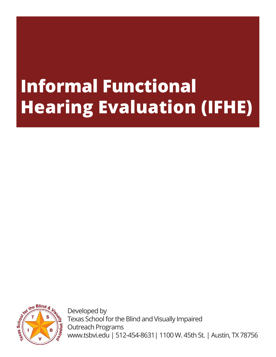# **Informal Functional Hearing Evaluation (IFHE)**



Developed by Texas School for the Blind and Visually Impaired Outreach Programs www.tsbvi.edu | 512-454-8631| 1100 W. 45th St. | Austin, TX 78756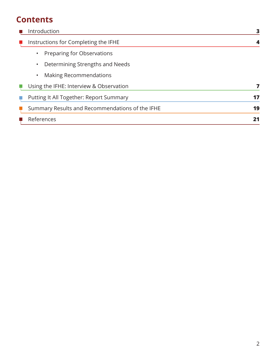# **Contents**

| Introduction                                    | 3  |
|-------------------------------------------------|----|
| Instructions for Completing the IFHE            |    |
| Preparing for Observations                      |    |
| Determining Strengths and Needs<br>$\bullet$    |    |
| <b>Making Recommendations</b><br>$\bullet$      |    |
| Using the IFHE: Interview & Observation         |    |
| Putting It All Together: Report Summary         | 17 |
| Summary Results and Recommendations of the IFHE | 19 |
| References                                      | 21 |
|                                                 |    |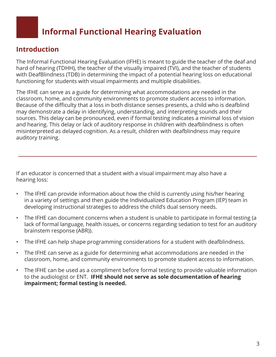# **Informal Functional Hearing Evaluation**

# **Introduction**

The Informal Functional Hearing Evaluation (IFHE) is meant to guide the teacher of the deaf and hard of hearing (TDHH), the teacher of the visually impaired (TVI), and the teacher of students with DeafBlindness (TDB) in determining the impact of a potential hearing loss on educational functioning for students with visual impairments and multiple disabilities.

The IFHE can serve as a guide for determining what accommodations are needed in the classroom, home, and community environments to promote student access to information. Because of the difficulty that a loss in both distance senses presents, a child who is deafblind may demonstrate a delay in identifying, understanding, and interpreting sounds and their sources. This delay can be pronounced, even if formal testing indicates a minimal loss of vision and hearing. This delay or lack of auditory response in children with deafblindness is often misinterpreted as delayed cognition. As a result, children with deafblindness may require auditory training.

If an educator is concerned that a student with a visual impairment may also have a hearing loss:

- The IFHE can provide information about how the child is currently using his/her hearing in a variety of settings and then guide the Individualized Education Program (IEP) team in developing instructional strategies to address the child's dual sensory needs.
- The IFHE can document concerns when a student is unable to participate in formal testing (a lack of formal language, health issues, or concerns regarding sedation to test for an auditory brainstem response (ABR)).
- The IFHE can help shape programming considerations for a student with deafblindness.
- The IFHE can serve as a guide for determining what accommodations are needed in the classroom, home, and community environments to promote student access to information.
- The IFHE can be used as a compliment before formal testing to provide valuable information to the audiologist or ENT. **IFHE should not serve as sole documentation of hearing impairment; formal testing is needed.**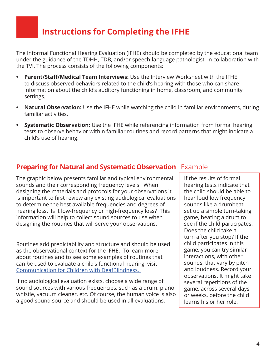# **Instructions for Completing the IFHE**

The Informal Functional Hearing Evaluation (IFHE) should be completed by the educational team under the guidance of the TDHH, TDB, and/or speech-language pathologist, in collaboration with the TVI. The process consists of the following components:

- **• Parent/Staff/Medical Team Interviews:** Use the Interview Worksheet with the IFHE to discuss observed behaviors related to the child's hearing with those who can share information about the child's auditory functioning in home, classroom, and community settings.
- **• Natural Observation:** Use the IFHE while watching the child in familiar environments, during familiar activities.
- **• Systematic Observation:** Use the IFHE while referencing information from formal hearing tests to observe behavior within familiar routines and record patterns that might indicate a child's use of hearing.

# **Preparing for Natural and Systematic Observation** Example

The graphic below presents familiar and typical environmental sounds and their corresponding frequency levels. When designing the materials and protocols for your observations it is important to first review any existing audiological evaluations to determine the best available frequencies and degrees of hearing loss. Is it low-frequency or high-frequency loss? This information will help to collect sound sources to use when designing the routines that will serve your observations.

Routines add predictability and structure and should be used as the observational context for the IFHE. To learn more about routines and to see some examples of routines that can be used to evaluate a child's functional hearing, visit Communication for Children with DeafBlindness.

If no audiological evaluation exists, choose a wide range of sound sources with various frequencies, such as a drum, piano, whistle, vacuum cleaner, etc. Of course, the human voice is also a good sound source and should be used in all evaluations.

If the results of formal hearing tests indicate that the child should be able to hear loud low frequency sounds like a drumbeat, set up a simple turn-taking game, beating a drum to see if the child participates. Does the child take a turn after you stop? If the child participates in this game, you can try similar interactions, with other sounds, that vary by pitch and loudness. Record your observations. It might take several repetitions of the game, across several days or weeks, before the child learns his or her role.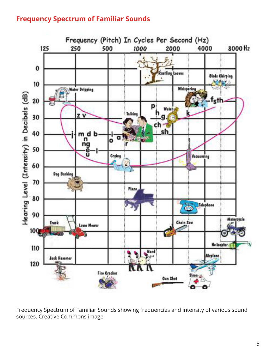# **Frequency Spectrum of Familiar Sounds**



Frequency Spectrum of Familiar Sounds showing frequencies and intensity of various sound sources. Creative Commons image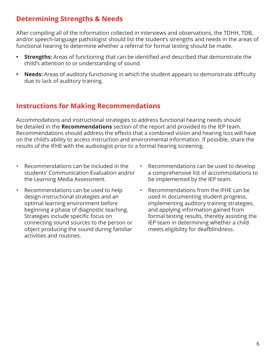# **Determining Strengths & Needs**

After compiling all of the information collected in interviews and observations, the TDHH, TDB, and/or speech-language pathologist should list the student's strengths and needs in the areas of functional hearing to determine whether a referral for formal testing should be made.

- **• Strengths:** Areas of functioning that can be identified and described that demonstrate the child's attention to or understanding of sound.
- **• Needs:** Areas of auditory functioning in which the student appears to demonstrate difficulty due to lack of auditory training.

# **Instructions for Making Recommendations**

Accommodations and instructional strategies to address functional hearing needs should be detailed in the **Recommendations** section of the report and provided to the IEP team. Recommendations should address the effects that a combined vision and hearing loss will have on the child's ability to access instruction and environmental information. If possible, share the results of the IFHE with the audiologist prior to a formal hearing screening.

- Recommendations can be included in the students' Communication Evaluation and/or the Learning Media Assessment.
- Recommendations can be used to help design instructional strategies and an optimal learning environment before beginning a phase of diagnostic teaching. Strategies include specific focus on connecting sound sources to the person or object producing the sound during familiar activities and routines.
- Recommendations can be used to develop a comprehensive list of accommodations to be implemented by the IEP team.
- Recommendations from the IFHE can be used in documenting student progress, implementing auditory training strategies, and applying information gained from formal testing results, thereby assisting the IEP team in determining whether a child meets eligibility for deafblindness.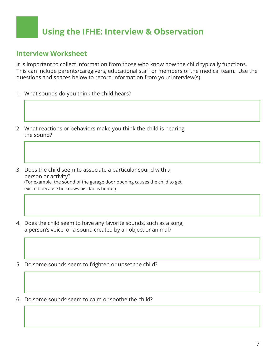# **Using the IFHE: Interview & Observation**

### **Interview Worksheet**

It is important to collect information from those who know how the child typically functions. This can include parents/caregivers, educational staff or members of the medical team. Use the questions and spaces below to record information from your interview(s).

- 1. What sounds do you think the child hears?
- 2. What reactions or behaviors make you think the child is hearing the sound?
- 3. Does the child seem to associate a particular sound with a person or activity? (For example, the sound of the garage door opening causes the child to get excited because he knows his dad is home.)
- 4. Does the child seem to have any favorite sounds, such as a song, a person's voice, or a sound created by an object or animal?
- 5. Do some sounds seem to frighten or upset the child?
- 6. Do some sounds seem to calm or soothe the child?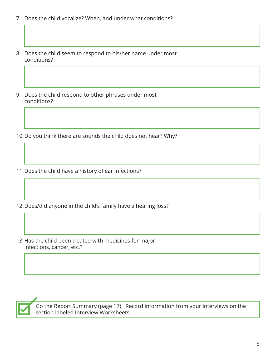- 7. Does the child vocalize? When, and under what conditions?
- 8. Does the child seem to respond to his/her name under most conditions?
- 9. Does the child respond to other phrases under most conditions?
- 10.Do you think there are sounds the child does not hear? Why?
- 11.Does the child have a history of ear infections?
- 12.Does/did anyone in the child's family have a hearing loss?
- 13.Has the child been treated with medicines for major infections, cancer, etc.?



Go the Report Summary (page 17). Record information from your interviews on the section labeled Interview Worksheets.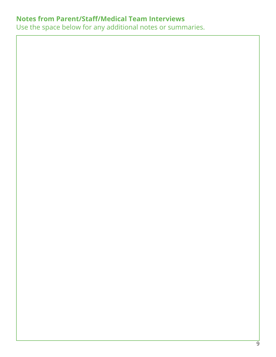# **Notes from Parent/Staff/Medical Team Interviews**

Use the space below for any additional notes or summaries.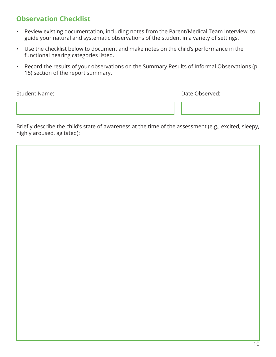# **Observation Checklist**

- Review existing documentation, including notes from the Parent/Medical Team Interview, to guide your natural and systematic observations of the student in a variety of settings.
- Use the checklist below to document and make notes on the child's performance in the functional hearing categories listed.
- Record the results of your observations on the Summary Results of Informal Observations (p. 15) section of the report summary.

Student Name: Date Observed:

Briefly describe the child's state of awareness at the time of the assessment (e.g., excited, sleepy, highly aroused, agitated):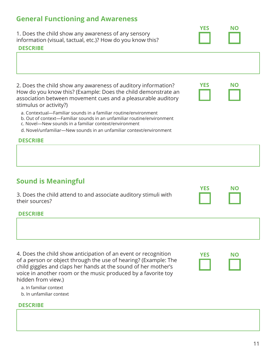# **General Functioning and Awareness**

1. Does the child show any awareness of any sensory information (visual, tactual, etc.)? How do you know this?

#### **DESCRIBE**

2. Does the child show any awareness of auditory information? How do you know this? (Example: Does the child demonstrate an association between movement cues and a pleasurable auditory stimulus or activity?)

- a. Contextual—Familiar sounds in a familiar routine/environment
- b. Out of context—Familiar sounds in an unfamiliar routine/environment
- c. Novel—New sounds in a familiar context/environment
- d. Novel/unfamiliar—New sounds in an unfamiliar context/environment

#### **DESCRIBE**

### **Sound is Meaningful**

| 3. Does the child attend to and associate auditory stimuli with<br>their sources? | . |  |
|-----------------------------------------------------------------------------------|---|--|
| <b>DESCRIBE</b>                                                                   |   |  |
|                                                                                   |   |  |

4. Does the child show anticipation of an event or recognition of a person or object through the use of hearing? (Example: The child giggles and claps her hands at the sound of her mother's voice in another room or the music produced by a favorite toy hidden from view.)

| YES | N0 |
|-----|----|
|     |    |
|     |    |
|     |    |

**NO**

**YES**

**YES NO**

**NO**

**YES**

a. In familiar context

b. In unfamiliar context

#### **DESCRIBE**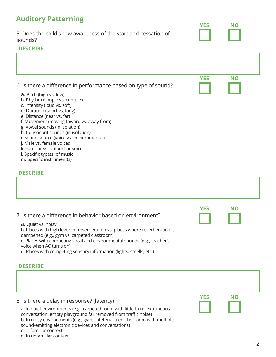# **Auditory Patterning**

5. Does the child show awareness of the start and cessation of sounds?

#### **DESCRIBE**

|                                                                                            | <b>YES</b> | <b>NO</b> |
|--------------------------------------------------------------------------------------------|------------|-----------|
| 6. Is there a difference in performance based on type of sound?<br>a. Pitch (high vs. low) |            |           |
| b. Rhythm (simple vs. complex)<br>c. Intensity (loud vs. soft)                             |            |           |
| d. Duration (short vs. long)                                                               |            |           |
| e. Distance (near vs. far)<br>f. Movement (moving toward vs. away from)                    |            |           |
| g. Vowel sounds (in isolation)<br>h. Consonant sounds (in isolation)                       |            |           |
|                                                                                            |            |           |

**YES NO**

- i. Sound source (voice vs. environmental)
- j. Male vs. female voices
- k. Familiar vs. unfamiliar voices
- l. Specific type(s) of music
- m. Specific instrument(s)

#### **DESCRIBE**

| 7. Is there a difference in behavior based on environment?<br>a. Quiet vs. noisy<br>b. Places with high levels of reverberation vs. places where reverberation is<br>dampened (e.g., gym vs. carpeted classroom)<br>c. Places with competing vocal and environmental sounds (e.g., teacher's<br>voice when AC turns on)<br>d. Places with competing sensory information (lights, smells, etc.)<br><b>DESCRIBE</b> | <b>YES</b> | NΟ        |    |
|-------------------------------------------------------------------------------------------------------------------------------------------------------------------------------------------------------------------------------------------------------------------------------------------------------------------------------------------------------------------------------------------------------------------|------------|-----------|----|
|                                                                                                                                                                                                                                                                                                                                                                                                                   |            |           |    |
| 8. Is there a delay in response? (latency)<br>a. In quiet environments (e.g., carpeted room with little to no extraneous<br>conversation, empty playground far removed from traffic noise)<br>b. In noisy environments (e.g., gym, cafeteria, tiled classroom with multiple<br>sound-emitting electronic devices and conversations)<br>c. In familiar context<br>d. In unfamiliar context                         | <b>YES</b> | <b>NO</b> |    |
|                                                                                                                                                                                                                                                                                                                                                                                                                   |            |           | 12 |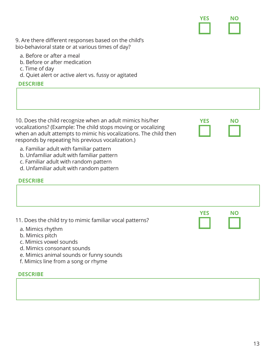

**YES NO**

9. Are there different responses based on the child's bio-behavioral state or at various times of day?

- a. Before or after a meal
- b. Before or after medication
- c. Time of day
- d. Quiet alert or active alert vs. fussy or agitated

#### **DESCRIBE**

10. Does the child recognize when an adult mimics his/her vocalizations? (Example: The child stops moving or vocalizing when an adult attempts to mimic his vocalizations. The child then responds by repeating his previous vocalization.)

- a. Familiar adult with familiar pattern
- b. Unfamiliar adult with familiar pattern
- c. Familiar adult with random pattern
- d. Unfamiliar adult with random pattern

#### **DESCRIBE**

| 11. Does the child try to mimic familiar vocal patterns?                                                                                                                      | <b>YES</b> | NΟ |
|-------------------------------------------------------------------------------------------------------------------------------------------------------------------------------|------------|----|
| a. Mimics rhythm<br>b. Mimics pitch<br>c. Mimics yowel sounds<br>d. Mimics consonant sounds<br>e. Mimics animal sounds or funny sounds<br>f. Mimics line from a song or rhyme |            |    |

#### **DESCRIBE**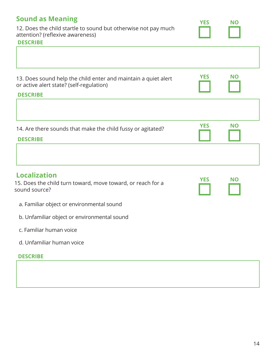| <b>Sound as Meaning</b><br>12. Does the child startle to sound but otherwise not pay much<br>attention? (reflexive awareness)<br><b>DESCRIBE</b> | <b>YES</b> | NΟ        |
|--------------------------------------------------------------------------------------------------------------------------------------------------|------------|-----------|
|                                                                                                                                                  |            |           |
| 13. Does sound help the child enter and maintain a quiet alert<br>or active alert state? (self-regulation)<br><b>DESCRIBE</b>                    | <b>YES</b> | <b>NO</b> |
|                                                                                                                                                  |            |           |
| 14. Are there sounds that make the child fussy or agitated?<br><b>DESCRIBE</b>                                                                   | <b>YES</b> | <b>NO</b> |
|                                                                                                                                                  |            |           |
| <b>Localization</b><br>15. Does the child turn toward, move toward, or reach for a<br>sound source?                                              | <b>YES</b> | <b>NO</b> |
| a. Familiar object or environmental sound                                                                                                        |            |           |
| b. Unfamiliar object or environmental sound                                                                                                      |            |           |
| c. Familiar human voice                                                                                                                          |            |           |
| d. Unfamiliar human voice                                                                                                                        |            |           |
| <b>DESCRIBE</b>                                                                                                                                  |            |           |
|                                                                                                                                                  |            |           |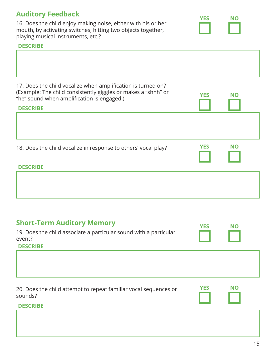# **Auditory Feedback**

16. Does the child enjoy making noise, either with his or her mouth, by activating switches, hitting two objects together, playing musical instruments, etc.?

#### **DESCRIBE**

Г

| 17. Does the child vocalize when amplification is turned on?<br>(Example: The child consistently giggles or makes a "shhh" or<br>"he" sound when amplification is engaged.)<br><b>DESCRIBE</b> | <b>YES</b> | <b>NO</b> |  |
|------------------------------------------------------------------------------------------------------------------------------------------------------------------------------------------------|------------|-----------|--|
|                                                                                                                                                                                                |            |           |  |
| 18. Does the child vocalize in response to others' vocal play?<br><b>DESCRIBE</b>                                                                                                              | <b>YES</b> | <b>NO</b> |  |
|                                                                                                                                                                                                |            |           |  |

| <b>Short-Term Auditory Memory</b><br>19. Does the child associate a particular sound with a particular<br>event?<br><b>DESCRIBE</b> | <b>YES</b> | <b>NO</b> |  |
|-------------------------------------------------------------------------------------------------------------------------------------|------------|-----------|--|
|                                                                                                                                     |            |           |  |
| 20. Does the child attempt to repeat familiar vocal sequences or<br>sounds?                                                         | <b>YES</b> | <b>NO</b> |  |
| <b>DESCRIBE</b>                                                                                                                     |            |           |  |

**YES NO**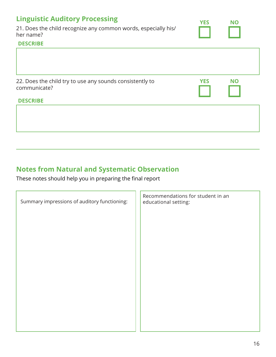| <b>Linguistic Auditory Processing</b><br>21. Does the child recognize any common words, especially his/<br>her name?<br><b>DESCRIBE</b> | <b>YES</b> | <b>NO</b> |  |
|-----------------------------------------------------------------------------------------------------------------------------------------|------------|-----------|--|
|                                                                                                                                         |            |           |  |
| 22. Does the child try to use any sounds consistently to<br>communicate?<br><b>DESCRIBE</b>                                             | <b>YES</b> | <b>NO</b> |  |
|                                                                                                                                         |            |           |  |

# **Notes from Natural and Systematic Observation**

These notes should help you in preparing the final report

| Summary impressions of auditory functioning: | Recommendations for student in an<br>educational setting: |
|----------------------------------------------|-----------------------------------------------------------|
|                                              |                                                           |
|                                              |                                                           |
|                                              |                                                           |
|                                              |                                                           |
|                                              |                                                           |
|                                              |                                                           |
|                                              |                                                           |
|                                              |                                                           |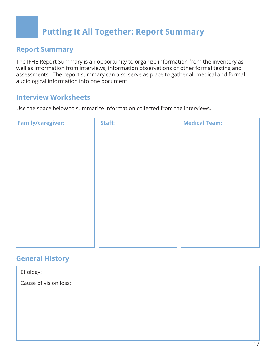# **Putting It All Together: Report Summary**

### **Report Summary**

The IFHE Report Summary is an opportunity to organize information from the inventory as well as information from interviews, information observations or other formal testing and assessments. The report summary can also serve as place to gather all medical and formal audiological information into one document.

### **Interview Worksheets**

Use the space below to summarize information collected from the interviews.

| <b>Family/caregiver:</b> | Staff: | <b>Medical Team:</b> |
|--------------------------|--------|----------------------|
|                          |        |                      |
|                          |        |                      |
|                          |        |                      |
|                          |        |                      |
|                          |        |                      |
|                          |        |                      |
|                          |        |                      |
|                          |        |                      |
|                          |        |                      |
|                          |        |                      |
|                          |        |                      |
|                          |        |                      |

### **General History**

Etiology:

Cause of vision loss: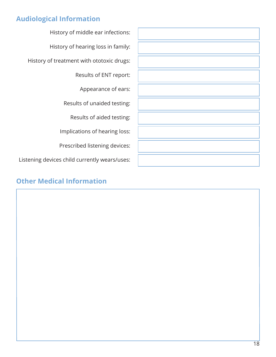# **Audiological Information**

History of middle ear infections: History of hearing loss in family: History of treatment with ototoxic drugs: Results of ENT report: Appearance of ears: Results of unaided testing: Results of aided testing: Implications of hearing loss: Prescribed listening devices: Listening devices child currently wears/uses:

# **Other Medical Information**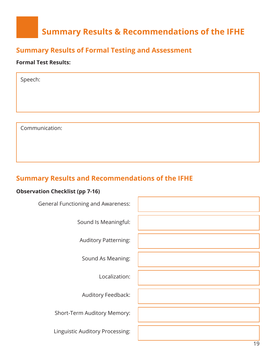# **Summary Results & Recommendations of the IFHE**

# **Summary Results of Formal Testing and Assessment**

#### **Formal Test Results:**

| Speech: |                |  |  |  |
|---------|----------------|--|--|--|
|         |                |  |  |  |
|         |                |  |  |  |
|         |                |  |  |  |
|         | Communication: |  |  |  |

# **Summary Results and Recommendations of the IFHE**

#### **Observation Checklist (pp 7-16)**

19 General Functioning and Awareness: Sound Is Meaningful: Auditory Patterning: Sound As Meaning: Localization: Auditory Feedback: Short-Term Auditory Memory: Linguistic Auditory Processing: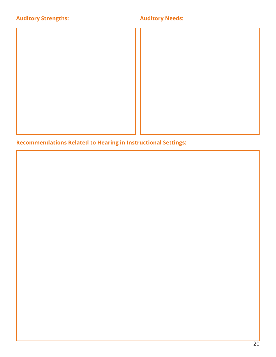# **Auditory Strengths:**

### **Auditory Needs:**

**Recommendations Related to Hearing in Instructional Settings:**